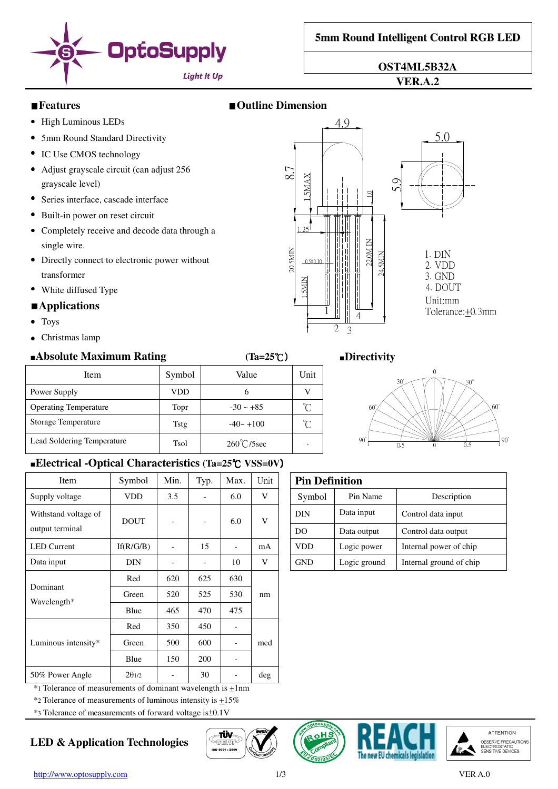

**OST4ML5B32A** 

#### **VER.A.2**

### ■**Features** ■**Outline Dimension**

8.7

1 1 . i. M  $\parallel$ 

20 SMIN

1.25

 $\mid$  $\parallel$  $\parallel$ 

0.5±0.10

 $\parallel$  $\mathbf{S}$ 

1

2 3

4.9

4

**2** 1 il.  $\mathbf{d}$  $\pm$  $\cdot$ 

 $5.9$ 

1 .0

M

- High Luminous LEDs
- 5mm Round Standard Directivity
- IC Use CMOS technology
- Adjust grayscale circuit (can adjust 256 grayscale level)
- Series interface, cascade interface
- Built-in power on reset circuit
- Completely receive and decode data through a single wire.
- Directly connect to electronic power without transformer
- White diffused Type

#### ■**Applications**

- Toys
- Christmas lamp

#### ■**Absolute Maximum Rating (Ta=25**℃) ■**Directivity**

| Item                         | Symbol      | Value                | Unit |  |  |  |
|------------------------------|-------------|----------------------|------|--|--|--|
| Power Supply                 | VDD         | n                    |      |  |  |  |
| <b>Operating Temperature</b> | Topr        | $-30 \sim +85$       |      |  |  |  |
| Storage Temperature          | Tstg        | $-40 - +100$         |      |  |  |  |
| Lead Soldering Temperature   | <b>Tsol</b> | $260^{\circ}$ C/5sec |      |  |  |  |

#### ■**Electrical -Optical Characteristics (Ta=25**℃ **VSS=0V**)

| Item                                    | Symbol                   | Min.                     | Typ.                     | Max.                     | Unit   | <b>Pin Definition</b> |            |              |                         |
|-----------------------------------------|--------------------------|--------------------------|--------------------------|--------------------------|--------|-----------------------|------------|--------------|-------------------------|
| Supply voltage                          | <b>VDD</b>               | 3.5                      | $\overline{\phantom{a}}$ | 6.0                      | V      |                       | Symbol     | Pin Name     | Description             |
| Withstand voltage of<br>output terminal | <b>DOUT</b>              |                          |                          | 6.0                      | V      |                       | <b>DIN</b> | Data input   | Control data input      |
|                                         |                          |                          |                          |                          |        |                       | DO.        | Data output  | Control data output     |
| <b>LED</b> Current                      | If(R/G/B)                | $\overline{a}$           | 15                       | $\overline{\phantom{a}}$ | mA     |                       | <b>VDD</b> | Logic power  | Internal power of chip  |
| Data input                              | <b>DIN</b>               |                          | $\overline{\phantom{0}}$ | 10                       | V      |                       | <b>GND</b> | Logic ground | Internal ground of chip |
| Dominant<br>Wavelength*                 | Red                      | 620                      | 625                      | 630                      | nm     |                       |            |              |                         |
|                                         | Green                    | 520                      | 525                      | 530                      |        |                       |            |              |                         |
|                                         | Blue                     | 465                      | 470                      | 475                      |        |                       |            |              |                         |
| Luminous intensity*                     | Red                      | 350                      | 450                      | $\overline{\phantom{a}}$ |        |                       |            |              |                         |
|                                         | Green                    | 500                      | 600                      | $\overline{\phantom{a}}$ | mcd    |                       |            |              |                         |
|                                         | Blue                     | 150                      | 200                      | $\overline{\phantom{a}}$ |        |                       |            |              |                         |
| 50% Power Angle                         | $2\theta$ <sub>1/2</sub> | $\overline{\phantom{a}}$ | 30                       | $\overline{\phantom{a}}$ | $\deg$ |                       |            |              |                         |

 $*$ 1 Tolerance of measurements of dominant wavelength is  $\pm 1$ nm

 $*$ 2 Tolerance of measurements of luminous intensity is  $\pm$ 15%

\*3 Tolerance of measurements of forward voltage is±0.1V

# **LED & Application Technologies**













Unit:mm

1. DIN 2. VDD 3. GND 4. DOUT

5.0

Tolerance: +0.3mm

| <b>Pin Definition</b> |              |                         |  |  |  |
|-----------------------|--------------|-------------------------|--|--|--|
| Symbol                | Pin Name     | Description             |  |  |  |
| DIN                   | Data input   | Control data input      |  |  |  |
| DO                    | Data output  | Control data output     |  |  |  |
| VDD                   | Logic power  | Internal power of chip  |  |  |  |
| GND                   | Logic ground | Internal ground of chip |  |  |  |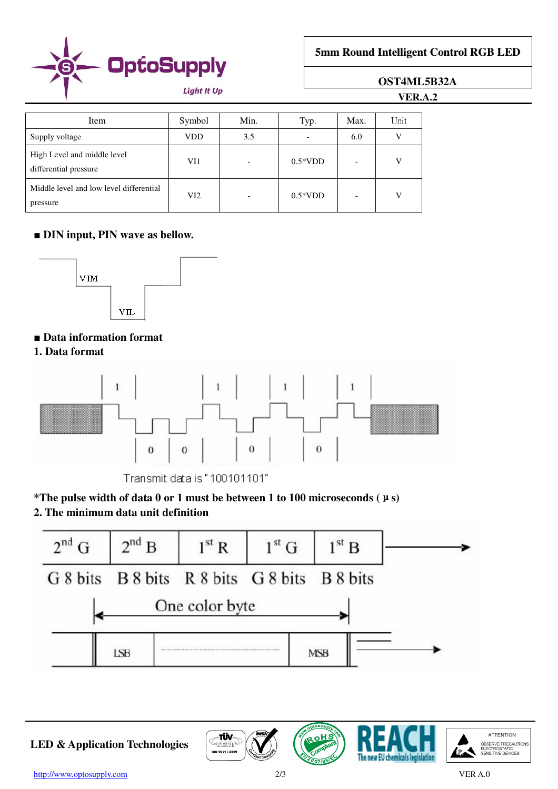

**5mm Round Intelligent Control RGB LED**

# **OST4ML5B32A**

**VER.A.2**

| Item                                                 | Symbol | Min. | Typ.      | Max. | Unit |
|------------------------------------------------------|--------|------|-----------|------|------|
| Supply voltage                                       | VDD    | 3.5  |           | 6.0  | V    |
| High Level and middle level<br>differential pressure | VI1    |      | $0.5*VDD$ |      | V    |
| Middle level and low level differential<br>pressure  | VI2    |      | $0.5*VDD$ |      | V    |

# ■ **DIN** input, **PIN** wave as bellow.



# ■ Data information format

**1. Data format** 



Transmit data is "100101101"

# **\*The pulse width of data 0 or 1 must be between 1 to 100 microseconds (**μ**s)**

# **2. The minimum data unit definition**